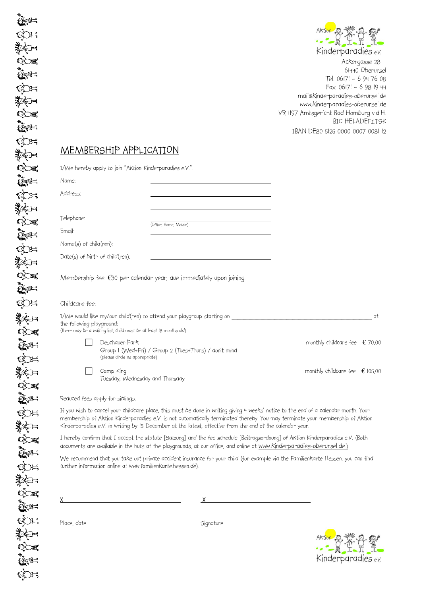

Ackergasse 28 61440 Oberursel Tel. 06171 – 6 94 76 08 Fax: 06171 – 6 98 19 44 mail@kinderparadies-oberursel.de www.kinderparadies-oberursel.de VR 1197 Amtsgericht Bad Homburg v.d.H. BIC HELADEF1TSK IBAN DE80 5125 0000 0007 0081 12

Aktion .

Ă

Kinderparadies e.v.

## MEMBERSHIP APPLICATION

 $I/Me$  bereby apply to join "Aktion Kinderparadies e.V."

|                                   | I) We nereby apply to join ANTion Minderparagies e.v                |                                                                      |                                                                                                                        |                                                                                                                                                                                                                                                                       |    |
|-----------------------------------|---------------------------------------------------------------------|----------------------------------------------------------------------|------------------------------------------------------------------------------------------------------------------------|-----------------------------------------------------------------------------------------------------------------------------------------------------------------------------------------------------------------------------------------------------------------------|----|
| Name:                             |                                                                     |                                                                      |                                                                                                                        |                                                                                                                                                                                                                                                                       |    |
| Address:                          |                                                                     |                                                                      |                                                                                                                        |                                                                                                                                                                                                                                                                       |    |
| Telephone:                        |                                                                     |                                                                      |                                                                                                                        |                                                                                                                                                                                                                                                                       |    |
| Email:                            |                                                                     | (Office, Home, Mobile)                                               | <u> 1989 - Johann Stoff, Amerikaansk politiker (</u>                                                                   |                                                                                                                                                                                                                                                                       |    |
| $Name(s)$ of child(ren):          |                                                                     |                                                                      |                                                                                                                        |                                                                                                                                                                                                                                                                       |    |
| $Date(s)$ of birth of child(ren): |                                                                     |                                                                      | <u> 1989 - Jan Stern Harry Harry Harry Harry Harry Harry Harry Harry Harry Harry Harry Harry Harry Harry Harry Har</u> |                                                                                                                                                                                                                                                                       |    |
|                                   |                                                                     | Membership fee: €30 per calendar year, due immediately upon joining. |                                                                                                                        |                                                                                                                                                                                                                                                                       |    |
| <u>Childcare fee:</u>             |                                                                     |                                                                      |                                                                                                                        |                                                                                                                                                                                                                                                                       |    |
| the following playground:         | (there may be a waiting list; child must be at least 18 months old) |                                                                      |                                                                                                                        | I/We would like my/our child(ren) to attend your playgroup starting on ____________________________                                                                                                                                                                   | at |
|                                   | Deschauer Park<br>(please circle as appropriate)                    | Group I (Wed+Fri) / Group 2 (Tues+Thurs) / don't mind                |                                                                                                                        | monthly childcare fee $\epsilon$ 70,00                                                                                                                                                                                                                                |    |
|                                   | Camp King<br>Tuesday, Wednesday and Thursday                        |                                                                      |                                                                                                                        | monthly childcare fee $\epsilon$ 105,00                                                                                                                                                                                                                               |    |
|                                   | Reduced fees apply for siblings.                                    |                                                                      |                                                                                                                        |                                                                                                                                                                                                                                                                       |    |
|                                   |                                                                     |                                                                      | Kinderparadies e.V. in writing by I5 December at the latest, effective from the end of the calendar year.              | If you wish to cancel your childcare place, this must be done in writing giving 4 weeks' notice to the end of a calendar month. Your<br>membership of Aktion Kinderparadies e.V. is not automatically terminated thereby. You may terminate your membership of Aktion |    |
|                                   |                                                                     |                                                                      |                                                                                                                        | I hereby confirm that I accept the statute [Satzung] and the fee schedule [Beitragsordnung] of Aktion Kinderparadies e.V. (Both<br>documents are available in the huts at the playgrounds, at our office, and online at www.Kinderparadies-oberursel.de.)             |    |
|                                   |                                                                     | further information online at www.familienkarte.hessen.de).          |                                                                                                                        | We recommend that you take out private accident insurance for your child (for example via the Familienkarte Hessen, you can find                                                                                                                                      |    |
|                                   |                                                                     |                                                                      |                                                                                                                        |                                                                                                                                                                                                                                                                       |    |
|                                   |                                                                     |                                                                      |                                                                                                                        |                                                                                                                                                                                                                                                                       |    |
|                                   |                                                                     |                                                                      | Signature                                                                                                              |                                                                                                                                                                                                                                                                       |    |
| Place, date                       |                                                                     |                                                                      |                                                                                                                        |                                                                                                                                                                                                                                                                       |    |

▓⋩⊨  $\bigcirc$  $\sum_{i=1}^n$ क्रे ▓  $\infty$  $\sum_{i=1}^{\infty}$ QO= ▓▓ਦ≒  $\infty$  $\mathbb{Q}$ of:  $\mathbb{Q}$ i $\mathbb{H}$ 数字  $\circlearrowright$  $\sum_{i=1}^n$  $Q_{\text{eff}}$ ▓▓ਦ  $\infty$  $\mathbb{R}^d$ EX 数个工  $\infty$ en e EX 7  $\infty$  $\sum_{i=1}^{\infty}$ QO∺ ▓  $\infty$ QQ H

 $\mathbb{R}$ 

ि≪≔

 $\circlearrowright$  $\widetilde{\mathbb{C}}$  and  $\widetilde{\mathbb{C}}$ 

QOH ▓▓ਦ≒  $\infty$  $\sum_{i=1}^n$ QC 31

 $\mathbb{H}$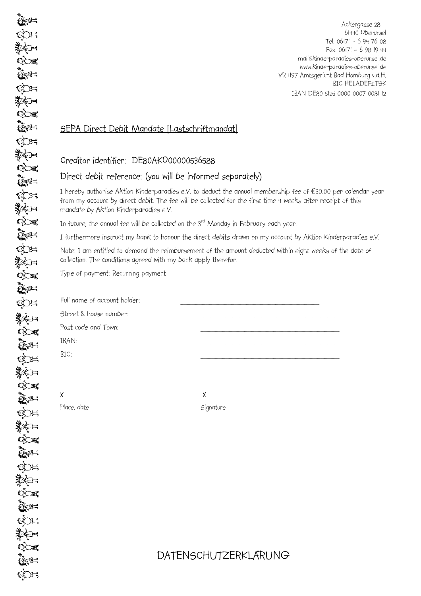Ackergasse 28 61440 Oberursel Tel. 06171 – 6 94 76 08 Fax: 06171 – 6 98 19 44 mail@kinderparadies-oberursel.de www.kinderparadies-oberursel.de VR 1197 Amtsgericht Bad Homburg v.d.H. **BIC HELADEF1TSK** IBAN DE80 5125 0000 0007 0081 12

## SEPA Direct Debit Mandate [Lastschriftmandat]

## Creditor identifier: DE80AKO00000536588

## Direct debit reference: (you will be informed separately)

I hereby authorise Aktion Kinderparadies e.V. to deduct the annual membership fee of €30.00 per calendar year from my account by direct debit. The fee will be collected for the first time 4 weeks after receipt of this mandate by Aktion Kinderparadies e.V.

In future, the annual fee will be collected on the 3<sup>rd</sup> Monday in February each year.

I furthermore instruct my bank to honour the direct debits drawn on my account by Aktion Kinderparadies e.V.

Note: I am entitled to demand the reimbursement of the amount deducted within eight weeks of the date of collection. The conditions agreed with my bank apply therefor.

Type of payment: Recurring payment

| Full name of account holder: |  |
|------------------------------|--|
| Street & house number:       |  |
| Post code and Town:          |  |
| IBAN:                        |  |
| BIC:                         |  |
|                              |  |

 $\times$  X

Place, date Signature

DATENSCHUTZERKLA**̈**RUNG

 $\mathbb{R}$